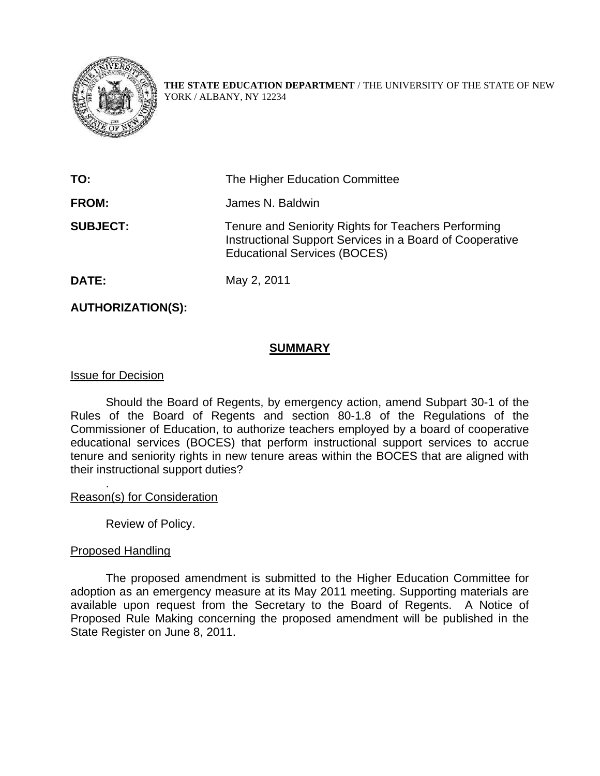

**THE STATE EDUCATION DEPARTMENT** / THE UNIVERSITY OF THE STATE OF NEW YORK / ALBANY, NY 12234

| TO:             | The Higher Education Committee                                                                                                                         |
|-----------------|--------------------------------------------------------------------------------------------------------------------------------------------------------|
| <b>FROM:</b>    | James N. Baldwin                                                                                                                                       |
| <b>SUBJECT:</b> | Tenure and Seniority Rights for Teachers Performing<br>Instructional Support Services in a Board of Cooperative<br><b>Educational Services (BOCES)</b> |
| <b>DATE:</b>    | May 2, 2011                                                                                                                                            |

## **AUTHORIZATION(S):**

### **SUMMARY**

#### Issue for Decision

Should the Board of Regents, by emergency action, amend Subpart 30-1 of the Rules of the Board of Regents and section 80-1.8 of the Regulations of the Commissioner of Education, to authorize teachers employed by a board of cooperative educational services (BOCES) that perform instructional support services to accrue tenure and seniority rights in new tenure areas within the BOCES that are aligned with their instructional support duties?

Reason(s) for Consideration

Review of Policy.

#### Proposed Handling

.

The proposed amendment is submitted to the Higher Education Committee for adoption as an emergency measure at its May 2011 meeting. Supporting materials are available upon request from the Secretary to the Board of Regents. A Notice of Proposed Rule Making concerning the proposed amendment will be published in the State Register on June 8, 2011.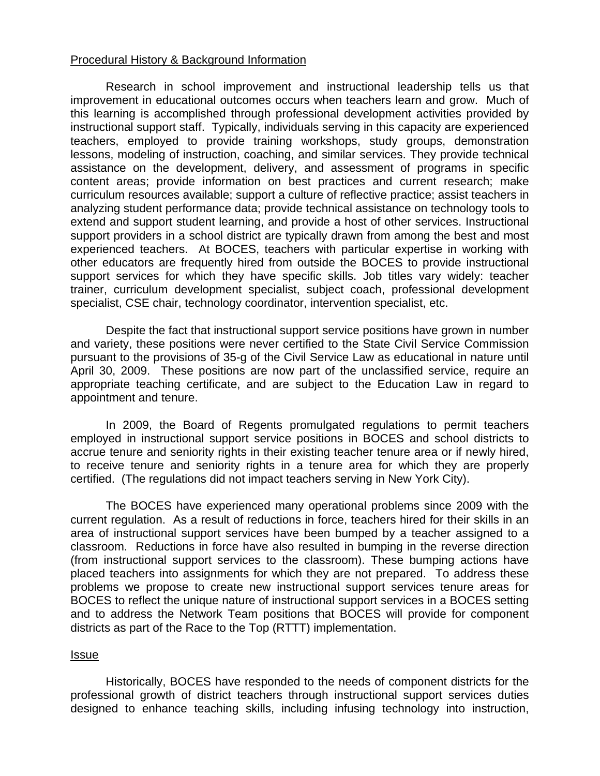## Procedural History & Background Information

Research in school improvement and instructional leadership tells us that improvement in educational outcomes occurs when teachers learn and grow. Much of this learning is accomplished through professional development activities provided by instructional support staff. Typically, individuals serving in this capacity are experienced teachers, employed to provide training workshops, study groups, demonstration lessons, modeling of instruction, coaching, and similar services. They provide technical assistance on the development, delivery, and assessment of programs in specific content areas; provide information on best practices and current research; make curriculum resources available; support a culture of reflective practice; assist teachers in analyzing student performance data; provide technical assistance on technology tools to extend and support student learning, and provide a host of other services. Instructional support providers in a school district are typically drawn from among the best and most experienced teachers. At BOCES, teachers with particular expertise in working with other educators are frequently hired from outside the BOCES to provide instructional support services for which they have specific skills. Job titles vary widely: teacher trainer, curriculum development specialist, subject coach, professional development specialist, CSE chair, technology coordinator, intervention specialist, etc.

Despite the fact that instructional support service positions have grown in number and variety, these positions were never certified to the State Civil Service Commission pursuant to the provisions of 35-g of the Civil Service Law as educational in nature until April 30, 2009. These positions are now part of the unclassified service, require an appropriate teaching certificate, and are subject to the Education Law in regard to appointment and tenure.

In 2009, the Board of Regents promulgated regulations to permit teachers employed in instructional support service positions in BOCES and school districts to accrue tenure and seniority rights in their existing teacher tenure area or if newly hired, to receive tenure and seniority rights in a tenure area for which they are properly certified. (The regulations did not impact teachers serving in New York City).

The BOCES have experienced many operational problems since 2009 with the current regulation. As a result of reductions in force, teachers hired for their skills in an area of instructional support services have been bumped by a teacher assigned to a classroom. Reductions in force have also resulted in bumping in the reverse direction (from instructional support services to the classroom). These bumping actions have placed teachers into assignments for which they are not prepared. To address these problems we propose to create new instructional support services tenure areas for BOCES to reflect the unique nature of instructional support services in a BOCES setting and to address the Network Team positions that BOCES will provide for component districts as part of the Race to the Top (RTTT) implementation.

#### Issue

Historically, BOCES have responded to the needs of component districts for the professional growth of district teachers through instructional support services duties designed to enhance teaching skills, including infusing technology into instruction,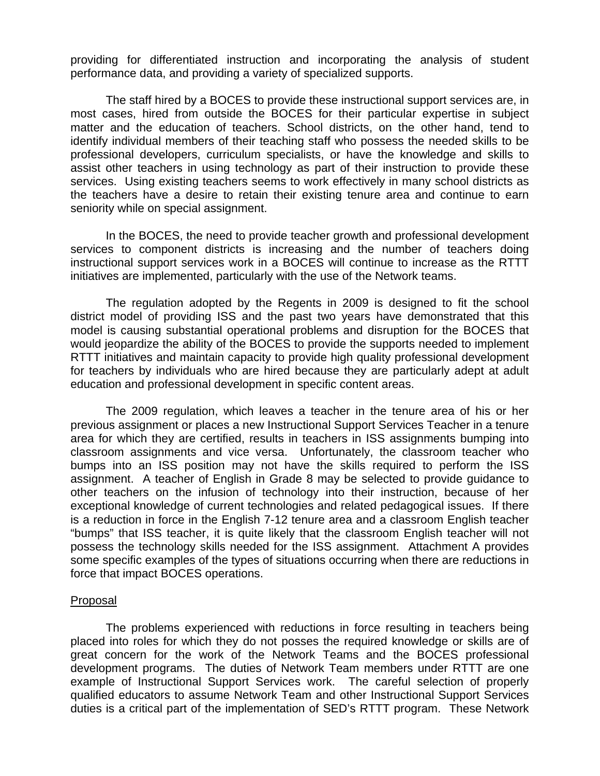providing for differentiated instruction and incorporating the analysis of student performance data, and providing a variety of specialized supports.

The staff hired by a BOCES to provide these instructional support services are, in most cases, hired from outside the BOCES for their particular expertise in subject matter and the education of teachers. School districts, on the other hand, tend to identify individual members of their teaching staff who possess the needed skills to be professional developers, curriculum specialists, or have the knowledge and skills to assist other teachers in using technology as part of their instruction to provide these services. Using existing teachers seems to work effectively in many school districts as the teachers have a desire to retain their existing tenure area and continue to earn seniority while on special assignment.

In the BOCES, the need to provide teacher growth and professional development services to component districts is increasing and the number of teachers doing instructional support services work in a BOCES will continue to increase as the RTTT initiatives are implemented, particularly with the use of the Network teams.

The regulation adopted by the Regents in 2009 is designed to fit the school district model of providing ISS and the past two years have demonstrated that this model is causing substantial operational problems and disruption for the BOCES that would jeopardize the ability of the BOCES to provide the supports needed to implement RTTT initiatives and maintain capacity to provide high quality professional development for teachers by individuals who are hired because they are particularly adept at adult education and professional development in specific content areas.

The 2009 regulation, which leaves a teacher in the tenure area of his or her previous assignment or places a new Instructional Support Services Teacher in a tenure area for which they are certified, results in teachers in ISS assignments bumping into classroom assignments and vice versa. Unfortunately, the classroom teacher who bumps into an ISS position may not have the skills required to perform the ISS assignment. A teacher of English in Grade 8 may be selected to provide guidance to other teachers on the infusion of technology into their instruction, because of her exceptional knowledge of current technologies and related pedagogical issues. If there is a reduction in force in the English 7-12 tenure area and a classroom English teacher "bumps" that ISS teacher, it is quite likely that the classroom English teacher will not possess the technology skills needed for the ISS assignment. Attachment A provides some specific examples of the types of situations occurring when there are reductions in force that impact BOCES operations.

#### Proposal

The problems experienced with reductions in force resulting in teachers being placed into roles for which they do not posses the required knowledge or skills are of great concern for the work of the Network Teams and the BOCES professional development programs. The duties of Network Team members under RTTT are one example of Instructional Support Services work. The careful selection of properly qualified educators to assume Network Team and other Instructional Support Services duties is a critical part of the implementation of SED's RTTT program. These Network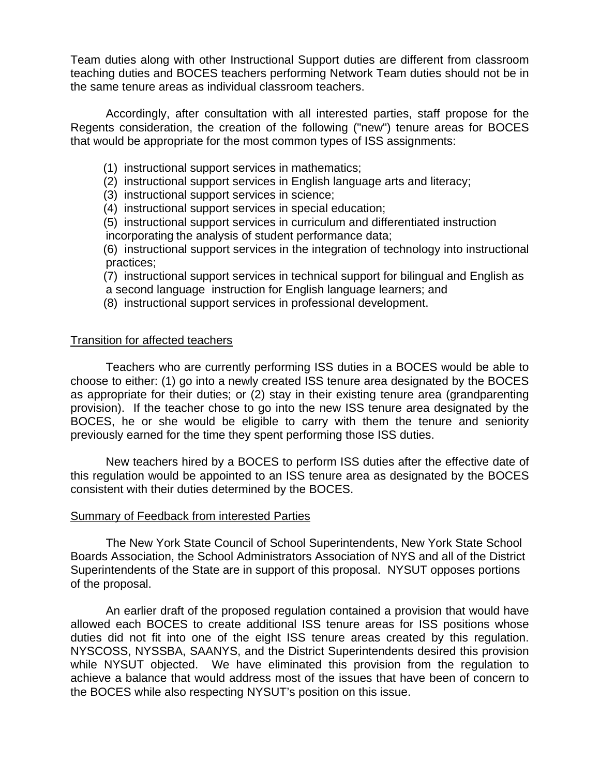Team duties along with other Instructional Support duties are different from classroom teaching duties and BOCES teachers performing Network Team duties should not be in the same tenure areas as individual classroom teachers.

Accordingly, after consultation with all interested parties, staff propose for the Regents consideration, the creation of the following ("new") tenure areas for BOCES that would be appropriate for the most common types of ISS assignments:

- (1) instructional support services in mathematics;
- (2) instructional support services in English language arts and literacy;
- (3) instructional support services in science;
- (4) instructional support services in special education;

 (5) instructional support services in curriculum and differentiated instruction incorporating the analysis of student performance data;

 (6) instructional support services in the integration of technology into instructional practices;

- (7) instructional support services in technical support for bilingual and English as
- a second language instruction for English language learners; and
- (8) instructional support services in professional development.

#### Transition for affected teachers

Teachers who are currently performing ISS duties in a BOCES would be able to choose to either: (1) go into a newly created ISS tenure area designated by the BOCES as appropriate for their duties; or (2) stay in their existing tenure area (grandparenting provision). If the teacher chose to go into the new ISS tenure area designated by the BOCES, he or she would be eligible to carry with them the tenure and seniority previously earned for the time they spent performing those ISS duties.

New teachers hired by a BOCES to perform ISS duties after the effective date of this regulation would be appointed to an ISS tenure area as designated by the BOCES consistent with their duties determined by the BOCES.

#### Summary of Feedback from interested Parties

The New York State Council of School Superintendents, New York State School Boards Association, the School Administrators Association of NYS and all of the District Superintendents of the State are in support of this proposal. NYSUT opposes portions of the proposal.

An earlier draft of the proposed regulation contained a provision that would have allowed each BOCES to create additional ISS tenure areas for ISS positions whose duties did not fit into one of the eight ISS tenure areas created by this regulation. NYSCOSS, NYSSBA, SAANYS, and the District Superintendents desired this provision while NYSUT objected. We have eliminated this provision from the regulation to achieve a balance that would address most of the issues that have been of concern to the BOCES while also respecting NYSUT's position on this issue.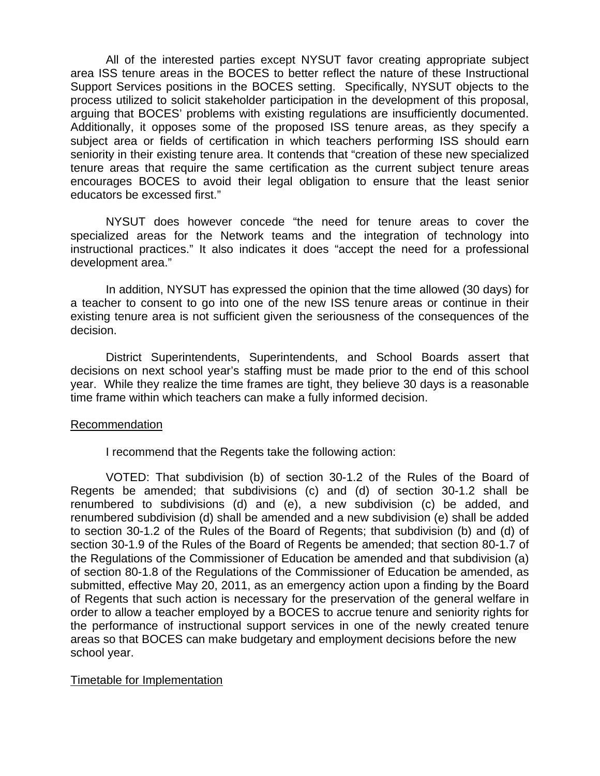All of the interested parties except NYSUT favor creating appropriate subject area ISS tenure areas in the BOCES to better reflect the nature of these Instructional Support Services positions in the BOCES setting. Specifically, NYSUT objects to the process utilized to solicit stakeholder participation in the development of this proposal, arguing that BOCES' problems with existing regulations are insufficiently documented. Additionally, it opposes some of the proposed ISS tenure areas, as they specify a subject area or fields of certification in which teachers performing ISS should earn seniority in their existing tenure area. It contends that "creation of these new specialized tenure areas that require the same certification as the current subject tenure areas encourages BOCES to avoid their legal obligation to ensure that the least senior educators be excessed first."

NYSUT does however concede "the need for tenure areas to cover the specialized areas for the Network teams and the integration of technology into instructional practices." It also indicates it does "accept the need for a professional development area."

 In addition, NYSUT has expressed the opinion that the time allowed (30 days) for a teacher to consent to go into one of the new ISS tenure areas or continue in their existing tenure area is not sufficient given the seriousness of the consequences of the decision.

District Superintendents, Superintendents, and School Boards assert that decisions on next school year's staffing must be made prior to the end of this school year. While they realize the time frames are tight, they believe 30 days is a reasonable time frame within which teachers can make a fully informed decision.

#### Recommendation

I recommend that the Regents take the following action:

VOTED: That subdivision (b) of section 30-1.2 of the Rules of the Board of Regents be amended; that subdivisions (c) and (d) of section 30-1.2 shall be renumbered to subdivisions (d) and (e), a new subdivision (c) be added, and renumbered subdivision (d) shall be amended and a new subdivision (e) shall be added to section 30-1.2 of the Rules of the Board of Regents; that subdivision (b) and (d) of section 30-1.9 of the Rules of the Board of Regents be amended; that section 80-1.7 of the Regulations of the Commissioner of Education be amended and that subdivision (a) of section 80-1.8 of the Regulations of the Commissioner of Education be amended, as submitted, effective May 20, 2011, as an emergency action upon a finding by the Board of Regents that such action is necessary for the preservation of the general welfare in order to allow a teacher employed by a BOCES to accrue tenure and seniority rights for the performance of instructional support services in one of the newly created tenure areas so that BOCES can make budgetary and employment decisions before the new school year.

#### Timetable for Implementation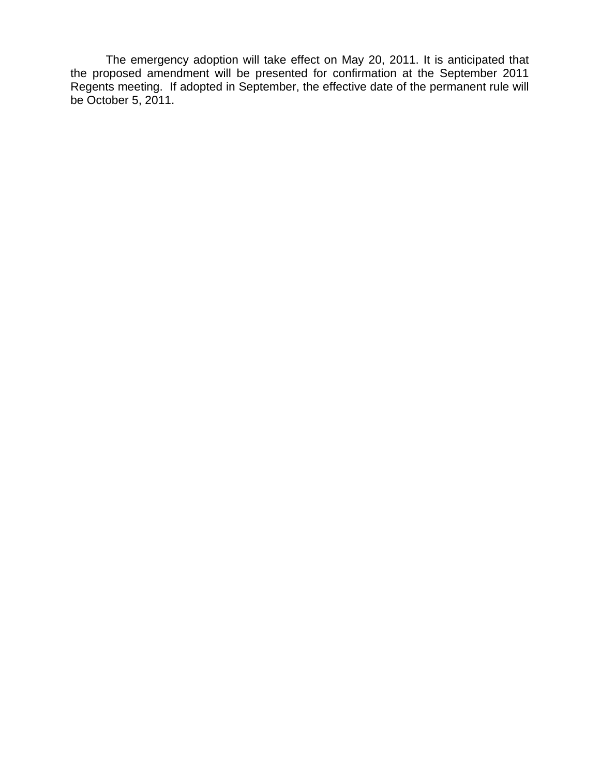The emergency adoption will take effect on May 20, 2011. It is anticipated that the proposed amendment will be presented for confirmation at the September 2011 Regents meeting. If adopted in September, the effective date of the permanent rule will be October 5, 2011.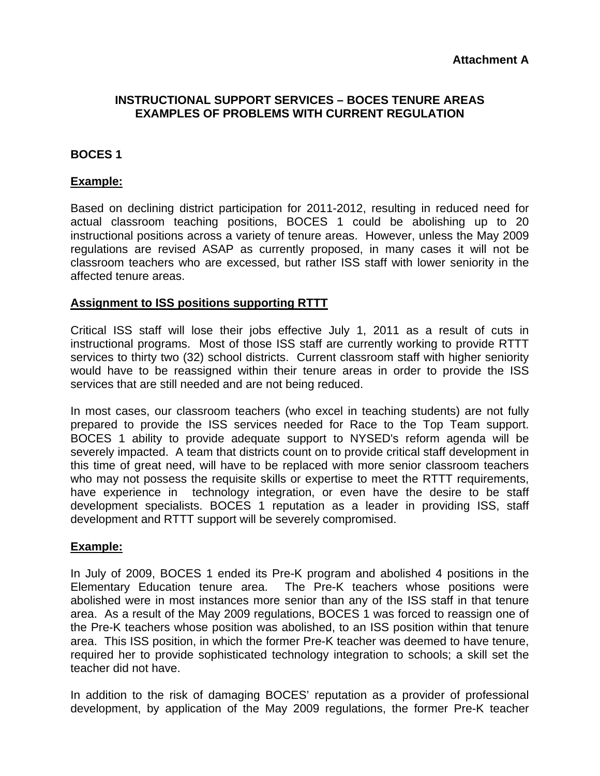## **INSTRUCTIONAL SUPPORT SERVICES – BOCES TENURE AREAS EXAMPLES OF PROBLEMS WITH CURRENT REGULATION**

## **BOCES 1**

## **Example:**

Based on declining district participation for 2011-2012, resulting in reduced need for actual classroom teaching positions, BOCES 1 could be abolishing up to 20 instructional positions across a variety of tenure areas. However, unless the May 2009 regulations are revised ASAP as currently proposed, in many cases it will not be classroom teachers who are excessed, but rather ISS staff with lower seniority in the affected tenure areas.

### **Assignment to ISS positions supporting RTTT**

Critical ISS staff will lose their jobs effective July 1, 2011 as a result of cuts in instructional programs. Most of those ISS staff are currently working to provide RTTT services to thirty two (32) school districts. Current classroom staff with higher seniority would have to be reassigned within their tenure areas in order to provide the ISS services that are still needed and are not being reduced.

In most cases, our classroom teachers (who excel in teaching students) are not fully prepared to provide the ISS services needed for Race to the Top Team support. BOCES 1 ability to provide adequate support to NYSED's reform agenda will be severely impacted. A team that districts count on to provide critical staff development in this time of great need, will have to be replaced with more senior classroom teachers who may not possess the requisite skills or expertise to meet the RTTT requirements, have experience in technology integration, or even have the desire to be staff development specialists. BOCES 1 reputation as a leader in providing ISS, staff development and RTTT support will be severely compromised.

#### **Example:**

In July of 2009, BOCES 1 ended its Pre-K program and abolished 4 positions in the Elementary Education tenure area. The Pre-K teachers whose positions were abolished were in most instances more senior than any of the ISS staff in that tenure area. As a result of the May 2009 regulations, BOCES 1 was forced to reassign one of the Pre-K teachers whose position was abolished, to an ISS position within that tenure area. This ISS position, in which the former Pre-K teacher was deemed to have tenure, required her to provide sophisticated technology integration to schools; a skill set the teacher did not have.

In addition to the risk of damaging BOCES' reputation as a provider of professional development, by application of the May 2009 regulations, the former Pre-K teacher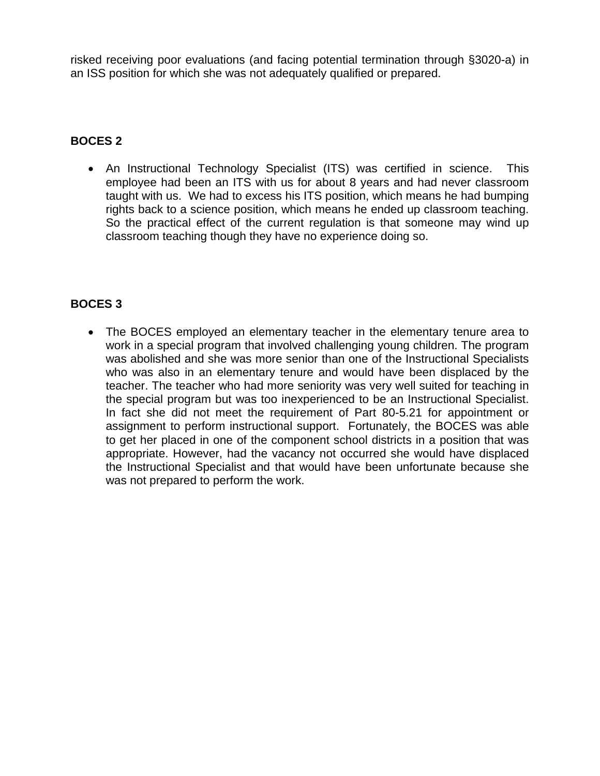risked receiving poor evaluations (and facing potential termination through §3020-a) in an ISS position for which she was not adequately qualified or prepared.

## **BOCES 2**

• An Instructional Technology Specialist (ITS) was certified in science. This employee had been an ITS with us for about 8 years and had never classroom taught with us. We had to excess his ITS position, which means he had bumping rights back to a science position, which means he ended up classroom teaching. So the practical effect of the current regulation is that someone may wind up classroom teaching though they have no experience doing so.

# **BOCES 3**

 The BOCES employed an elementary teacher in the elementary tenure area to work in a special program that involved challenging young children. The program was abolished and she was more senior than one of the Instructional Specialists who was also in an elementary tenure and would have been displaced by the teacher. The teacher who had more seniority was very well suited for teaching in the special program but was too inexperienced to be an Instructional Specialist. In fact she did not meet the requirement of Part 80-5.21 for appointment or assignment to perform instructional support. Fortunately, the BOCES was able to get her placed in one of the component school districts in a position that was appropriate. However, had the vacancy not occurred she would have displaced the Instructional Specialist and that would have been unfortunate because she was not prepared to perform the work.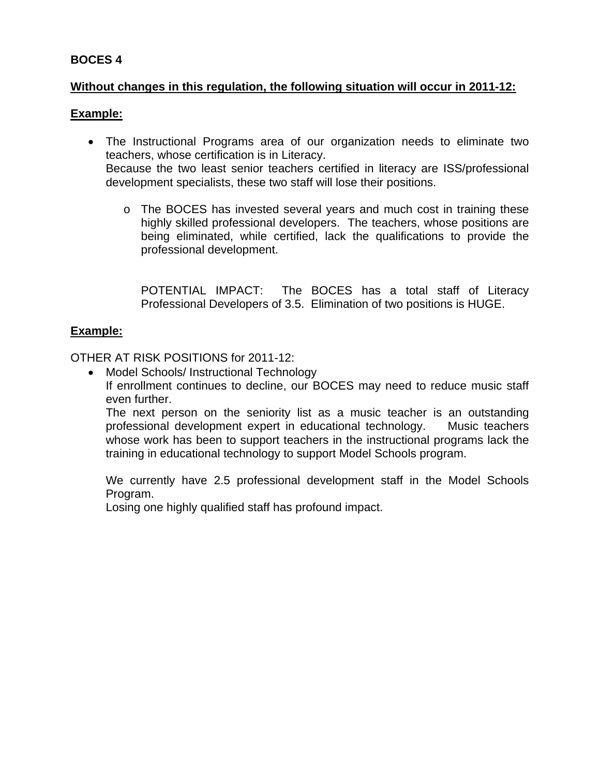## **BOCES 4**

## **Without changes in this regulation, the following situation will occur in 2011-12:**

## **Example:**

- The Instructional Programs area of our organization needs to eliminate two teachers, whose certification is in Literacy. Because the two least senior teachers certified in literacy are ISS/professional development specialists, these two staff will lose their positions.
	- o The BOCES has invested several years and much cost in training these highly skilled professional developers. The teachers, whose positions are being eliminated, while certified, lack the qualifications to provide the professional development.

POTENTIAL IMPACT: The BOCES has a total staff of Literacy Professional Developers of 3.5. Elimination of two positions is HUGE.

## **Example:**

OTHER AT RISK POSITIONS for 2011-12:

• Model Schools/ Instructional Technology If enrollment continues to decline, our BOCES may need to reduce music staff even further.

The next person on the seniority list as a music teacher is an outstanding professional development expert in educational technology. Music teachers whose work has been to support teachers in the instructional programs lack the training in educational technology to support Model Schools program.

We currently have 2.5 professional development staff in the Model Schools Program.

Losing one highly qualified staff has profound impact.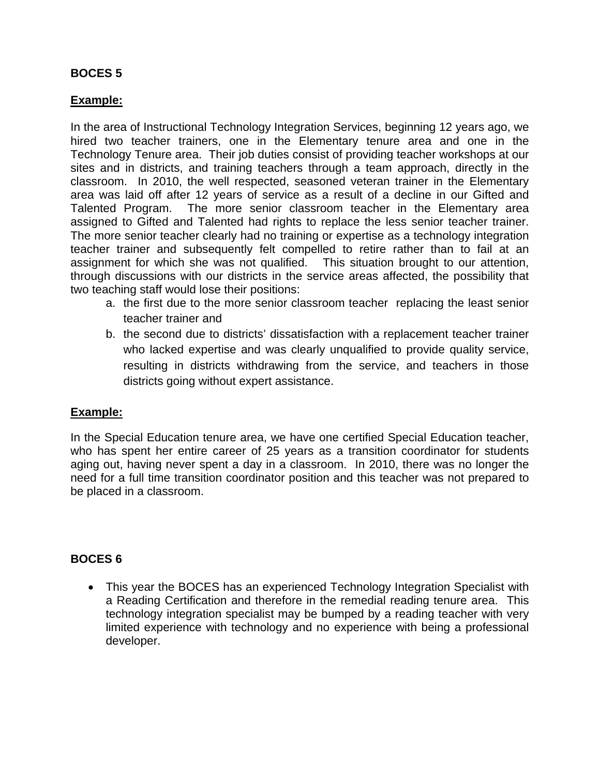## **BOCES 5**

## **Example:**

In the area of Instructional Technology Integration Services, beginning 12 years ago, we hired two teacher trainers, one in the Elementary tenure area and one in the Technology Tenure area. Their job duties consist of providing teacher workshops at our sites and in districts, and training teachers through a team approach, directly in the classroom. In 2010, the well respected, seasoned veteran trainer in the Elementary area was laid off after 12 years of service as a result of a decline in our Gifted and Talented Program. The more senior classroom teacher in the Elementary area assigned to Gifted and Talented had rights to replace the less senior teacher trainer. The more senior teacher clearly had no training or expertise as a technology integration teacher trainer and subsequently felt compelled to retire rather than to fail at an assignment for which she was not qualified. This situation brought to our attention, through discussions with our districts in the service areas affected, the possibility that two teaching staff would lose their positions:

- a. the first due to the more senior classroom teacher replacing the least senior teacher trainer and
- b. the second due to districts' dissatisfaction with a replacement teacher trainer who lacked expertise and was clearly unqualified to provide quality service, resulting in districts withdrawing from the service, and teachers in those districts going without expert assistance.

## **Example:**

In the Special Education tenure area, we have one certified Special Education teacher, who has spent her entire career of 25 years as a transition coordinator for students aging out, having never spent a day in a classroom. In 2010, there was no longer the need for a full time transition coordinator position and this teacher was not prepared to be placed in a classroom.

## **BOCES 6**

 This year the BOCES has an experienced Technology Integration Specialist with a Reading Certification and therefore in the remedial reading tenure area. This technology integration specialist may be bumped by a reading teacher with very limited experience with technology and no experience with being a professional developer.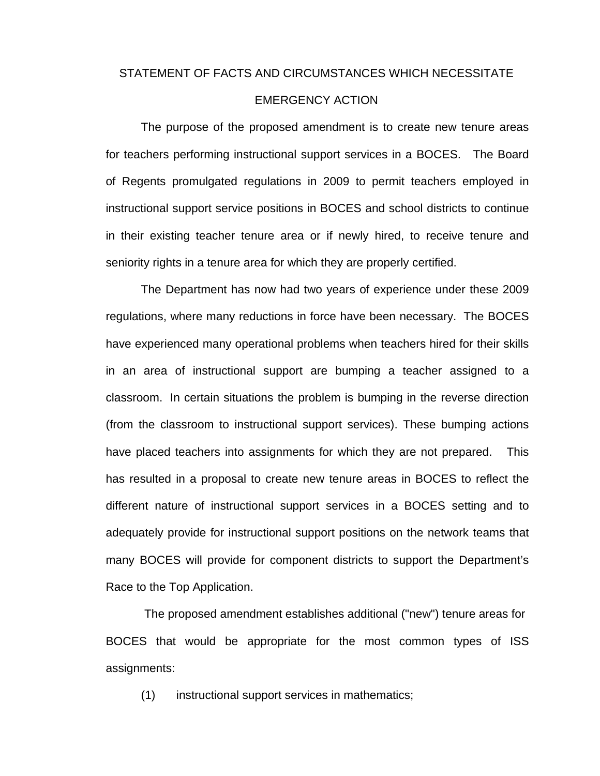#### STATEMENT OF FACTS AND CIRCUMSTANCES WHICH NECESSITATE

#### EMERGENCY ACTION

The purpose of the proposed amendment is to create new tenure areas for teachers performing instructional support services in a BOCES. The Board of Regents promulgated regulations in 2009 to permit teachers employed in instructional support service positions in BOCES and school districts to continue in their existing teacher tenure area or if newly hired, to receive tenure and seniority rights in a tenure area for which they are properly certified.

The Department has now had two years of experience under these 2009 regulations, where many reductions in force have been necessary. The BOCES have experienced many operational problems when teachers hired for their skills in an area of instructional support are bumping a teacher assigned to a classroom. In certain situations the problem is bumping in the reverse direction (from the classroom to instructional support services). These bumping actions have placed teachers into assignments for which they are not prepared. This has resulted in a proposal to create new tenure areas in BOCES to reflect the different nature of instructional support services in a BOCES setting and to adequately provide for instructional support positions on the network teams that many BOCES will provide for component districts to support the Department's Race to the Top Application.

 The proposed amendment establishes additional ("new") tenure areas for BOCES that would be appropriate for the most common types of ISS assignments:

(1) instructional support services in mathematics;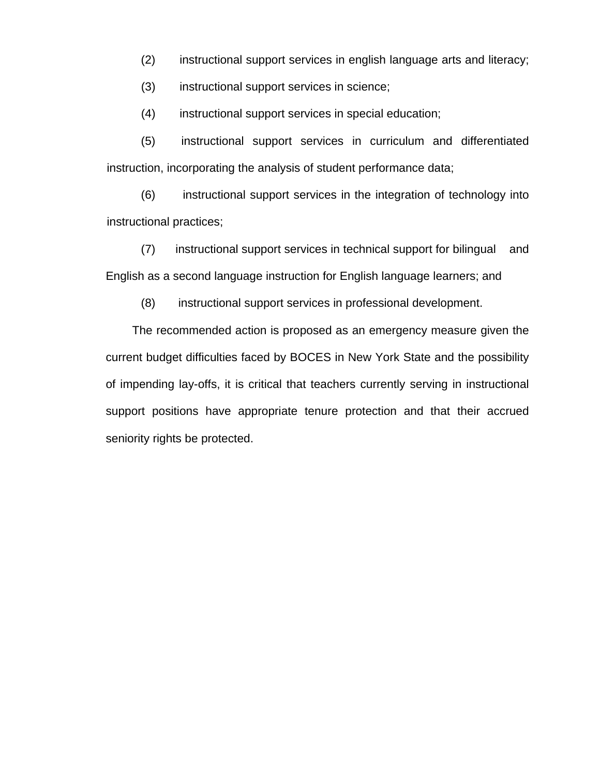- (2) instructional support services in english language arts and literacy;
- (3) instructional support services in science;
- (4) instructional support services in special education;

(5) instructional support services in curriculum and differentiated instruction, incorporating the analysis of student performance data;

(6) instructional support services in the integration of technology into instructional practices;

(7) instructional support services in technical support for bilingual and English as a second language instruction for English language learners; and

(8) instructional support services in professional development.

The recommended action is proposed as an emergency measure given the current budget difficulties faced by BOCES in New York State and the possibility of impending lay-offs, it is critical that teachers currently serving in instructional support positions have appropriate tenure protection and that their accrued seniority rights be protected.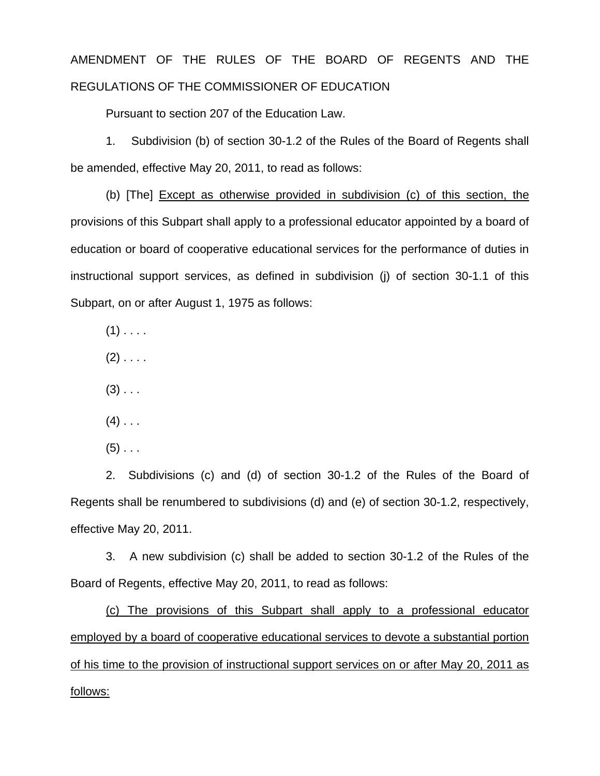# AMENDMENT OF THE RULES OF THE BOARD OF REGENTS AND THE REGULATIONS OF THE COMMISSIONER OF EDUCATION

Pursuant to section 207 of the Education Law.

1. Subdivision (b) of section 30-1.2 of the Rules of the Board of Regents shall be amended, effective May 20, 2011, to read as follows:

(b) [The] Except as otherwise provided in subdivision (c) of this section, the provisions of this Subpart shall apply to a professional educator appointed by a board of education or board of cooperative educational services for the performance of duties in instructional support services, as defined in subdivision (j) of section 30-1.1 of this Subpart, on or after August 1, 1975 as follows:

 $(1)$  . . . .

 $(2)$  . . . .

 $(3)$  . . .

 $(4)$  . . .

 $(5)$  . . .

2. Subdivisions (c) and (d) of section 30-1.2 of the Rules of the Board of Regents shall be renumbered to subdivisions (d) and (e) of section 30-1.2, respectively, effective May 20, 2011.

 3. A new subdivision (c) shall be added to section 30-1.2 of the Rules of the Board of Regents, effective May 20, 2011, to read as follows:

(c) The provisions of this Subpart shall apply to a professional educator employed by a board of cooperative educational services to devote a substantial portion of his time to the provision of instructional support services on or after May 20, 2011 as follows: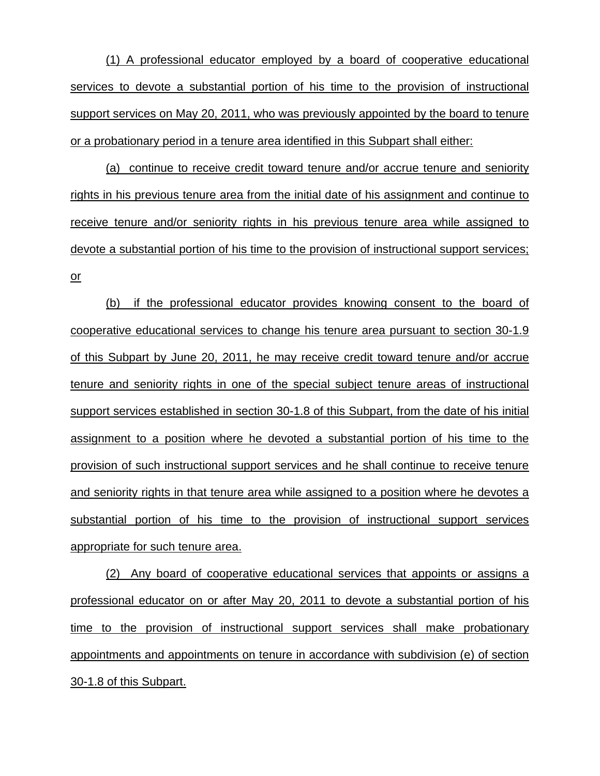(1) A professional educator employed by a board of cooperative educational services to devote a substantial portion of his time to the provision of instructional support services on May 20, 2011, who was previously appointed by the board to tenure or a probationary period in a tenure area identified in this Subpart shall either:

(a) continue to receive credit toward tenure and/or accrue tenure and seniority rights in his previous tenure area from the initial date of his assignment and continue to receive tenure and/or seniority rights in his previous tenure area while assigned to devote a substantial portion of his time to the provision of instructional support services; or

(b) if the professional educator provides knowing consent to the board of cooperative educational services to change his tenure area pursuant to section 30-1.9 of this Subpart by June 20, 2011, he may receive credit toward tenure and/or accrue tenure and seniority rights in one of the special subject tenure areas of instructional support services established in section 30-1.8 of this Subpart, from the date of his initial assignment to a position where he devoted a substantial portion of his time to the provision of such instructional support services and he shall continue to receive tenure and seniority rights in that tenure area while assigned to a position where he devotes a substantial portion of his time to the provision of instructional support services appropriate for such tenure area.

(2) Any board of cooperative educational services that appoints or assigns a professional educator on or after May 20, 2011 to devote a substantial portion of his time to the provision of instructional support services shall make probationary appointments and appointments on tenure in accordance with subdivision (e) of section 30-1.8 of this Subpart.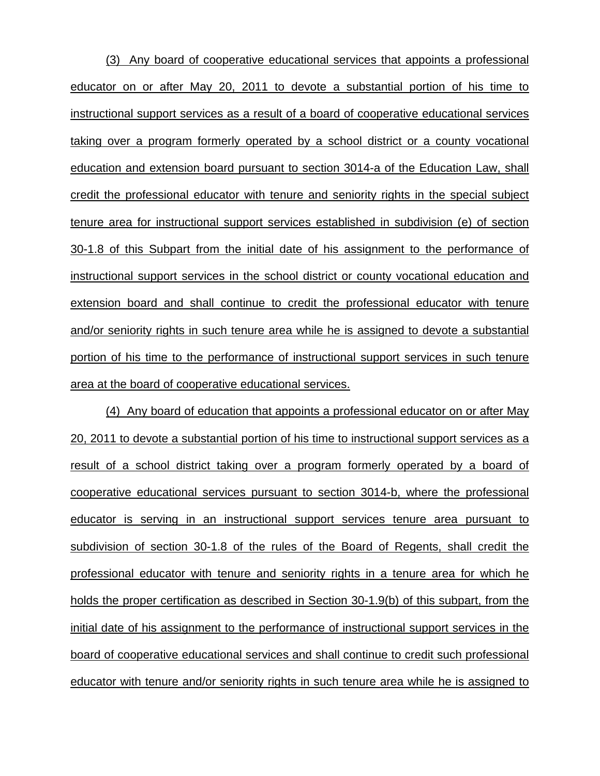(3) Any board of cooperative educational services that appoints a professional educator on or after May 20, 2011 to devote a substantial portion of his time to instructional support services as a result of a board of cooperative educational services taking over a program formerly operated by a school district or a county vocational education and extension board pursuant to section 3014-a of the Education Law, shall credit the professional educator with tenure and seniority rights in the special subject tenure area for instructional support services established in subdivision (e) of section 30-1.8 of this Subpart from the initial date of his assignment to the performance of instructional support services in the school district or county vocational education and extension board and shall continue to credit the professional educator with tenure and/or seniority rights in such tenure area while he is assigned to devote a substantial portion of his time to the performance of instructional support services in such tenure area at the board of cooperative educational services.

(4) Any board of education that appoints a professional educator on or after May 20, 2011 to devote a substantial portion of his time to instructional support services as a result of a school district taking over a program formerly operated by a board of cooperative educational services pursuant to section 3014-b, where the professional educator is serving in an instructional support services tenure area pursuant to subdivision of section 30-1.8 of the rules of the Board of Regents, shall credit the professional educator with tenure and seniority rights in a tenure area for which he holds the proper certification as described in Section 30-1.9(b) of this subpart, from the initial date of his assignment to the performance of instructional support services in the board of cooperative educational services and shall continue to credit such professional educator with tenure and/or seniority rights in such tenure area while he is assigned to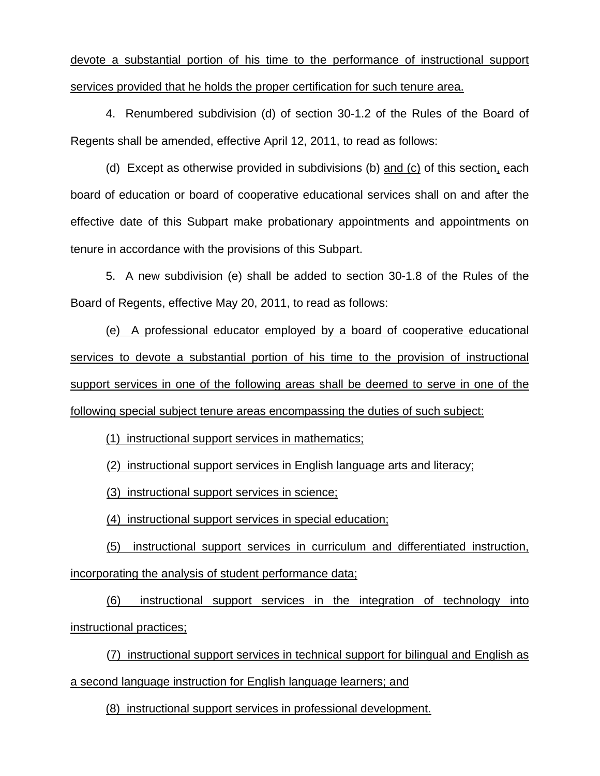devote a substantial portion of his time to the performance of instructional support services provided that he holds the proper certification for such tenure area.

4. Renumbered subdivision (d) of section 30-1.2 of the Rules of the Board of Regents shall be amended, effective April 12, 2011, to read as follows:

(d) Except as otherwise provided in subdivisions (b) and (c) of this section, each board of education or board of cooperative educational services shall on and after the effective date of this Subpart make probationary appointments and appointments on tenure in accordance with the provisions of this Subpart.

5. A new subdivision (e) shall be added to section 30-1.8 of the Rules of the Board of Regents, effective May 20, 2011, to read as follows:

(e) A professional educator employed by a board of cooperative educational services to devote a substantial portion of his time to the provision of instructional support services in one of the following areas shall be deemed to serve in one of the following special subject tenure areas encompassing the duties of such subject:

(1) instructional support services in mathematics;

(2) instructional support services in English language arts and literacy;

(3) instructional support services in science;

(4) instructional support services in special education;

 (5) instructional support services in curriculum and differentiated instruction, incorporating the analysis of student performance data;

 (6) instructional support services in the integration of technology into instructional practices;

 (7) instructional support services in technical support for bilingual and English as a second language instruction for English language learners; and

(8) instructional support services in professional development.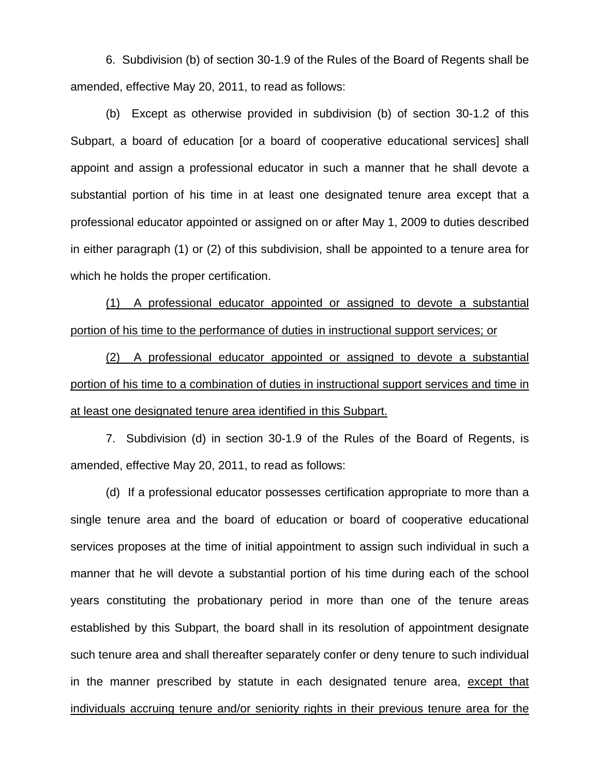6. Subdivision (b) of section 30-1.9 of the Rules of the Board of Regents shall be amended, effective May 20, 2011, to read as follows:

(b) Except as otherwise provided in subdivision (b) of section 30-1.2 of this Subpart, a board of education [or a board of cooperative educational services] shall appoint and assign a professional educator in such a manner that he shall devote a substantial portion of his time in at least one designated tenure area except that a professional educator appointed or assigned on or after May 1, 2009 to duties described in either paragraph (1) or (2) of this subdivision, shall be appointed to a tenure area for which he holds the proper certification.

(1) A professional educator appointed or assigned to devote a substantial portion of his time to the performance of duties in instructional support services; or

(2) A professional educator appointed or assigned to devote a substantial portion of his time to a combination of duties in instructional support services and time in at least one designated tenure area identified in this Subpart.

7. Subdivision (d) in section 30-1.9 of the Rules of the Board of Regents, is amended, effective May 20, 2011, to read as follows:

 (d) If a professional educator possesses certification appropriate to more than a single tenure area and the board of education or board of cooperative educational services proposes at the time of initial appointment to assign such individual in such a manner that he will devote a substantial portion of his time during each of the school years constituting the probationary period in more than one of the tenure areas established by this Subpart, the board shall in its resolution of appointment designate such tenure area and shall thereafter separately confer or deny tenure to such individual in the manner prescribed by statute in each designated tenure area, except that individuals accruing tenure and/or seniority rights in their previous tenure area for the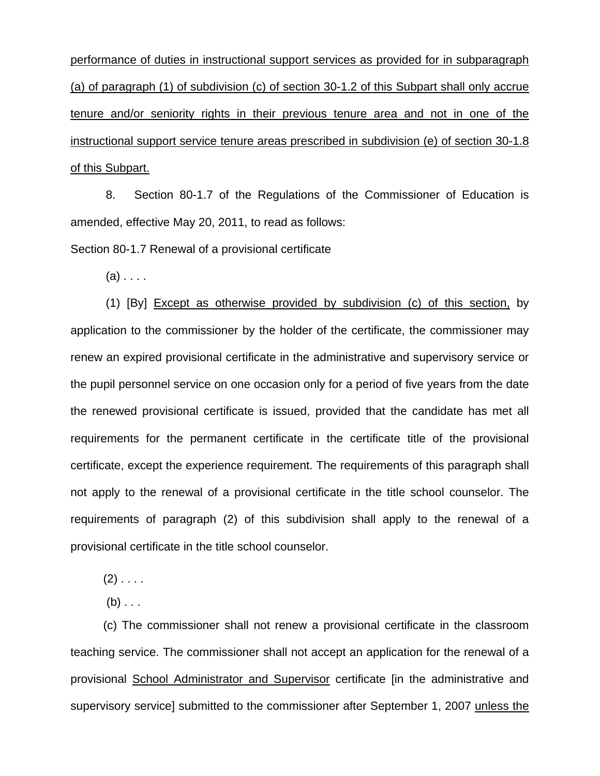performance of duties in instructional support services as provided for in subparagraph (a) of paragraph (1) of subdivision (c) of section 30-1.2 of this Subpart shall only accrue tenure and/or seniority rights in their previous tenure area and not in one of the instructional support service tenure areas prescribed in subdivision (e) of section 30-1.8 of this Subpart.

 8. Section 80-1.7 of the Regulations of the Commissioner of Education is amended, effective May 20, 2011, to read as follows:

Section 80-1.7 Renewal of a provisional certificate

 $(a)$ ...

 (1) [By] Except as otherwise provided by subdivision (c) of this section, by application to the commissioner by the holder of the certificate, the commissioner may renew an expired provisional certificate in the administrative and supervisory service or the pupil personnel service on one occasion only for a period of five years from the date the renewed provisional certificate is issued, provided that the candidate has met all requirements for the permanent certificate in the certificate title of the provisional certificate, except the experience requirement. The requirements of this paragraph shall not apply to the renewal of a provisional certificate in the title school counselor. The requirements of paragraph (2) of this subdivision shall apply to the renewal of a provisional certificate in the title school counselor.

 $(2)$  . . . .

 $(b)$  . . .

 (c) The commissioner shall not renew a provisional certificate in the classroom teaching service. The commissioner shall not accept an application for the renewal of a provisional School Administrator and Supervisor certificate [in the administrative and supervisory service] submitted to the commissioner after September 1, 2007 unless the